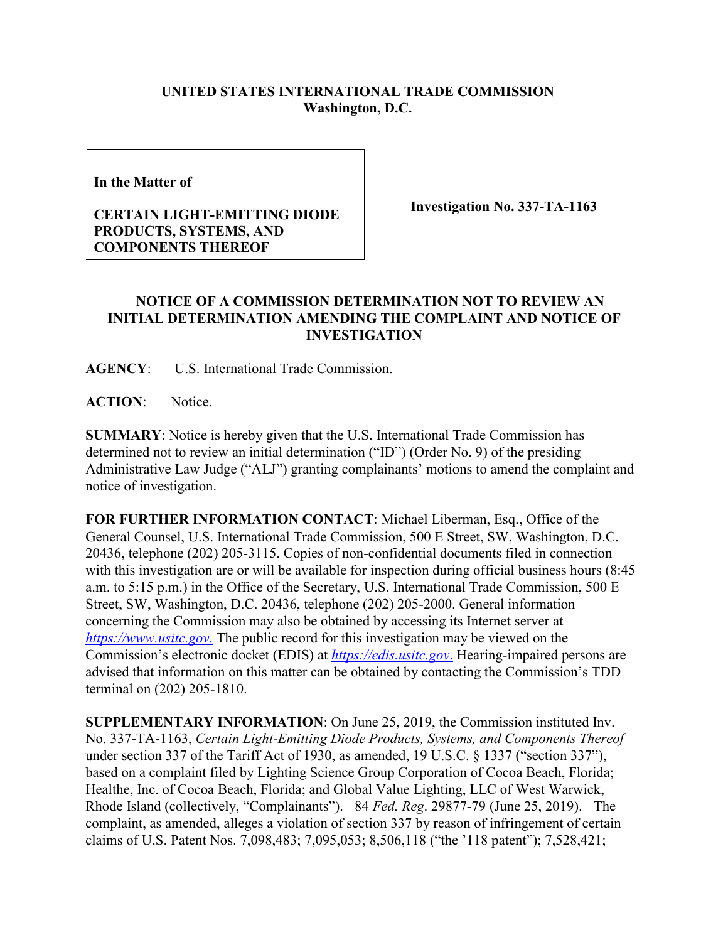## **UNITED STATES INTERNATIONAL TRADE COMMISSION Washington, D.C.**

**In the Matter of** 

## **CERTAIN LIGHT-EMITTING DIODE PRODUCTS, SYSTEMS, AND COMPONENTS THEREOF**

**Investigation No. 337-TA-1163**

## **NOTICE OF A COMMISSION DETERMINATION NOT TO REVIEW AN INITIAL DETERMINATION AMENDING THE COMPLAINT AND NOTICE OF INVESTIGATION**

**AGENCY**: U.S. International Trade Commission.

**ACTION**: Notice.

**SUMMARY**: Notice is hereby given that the U.S. International Trade Commission has determined not to review an initial determination ("ID") (Order No. 9) of the presiding Administrative Law Judge ("ALJ") granting complainants' motions to amend the complaint and notice of investigation.

**FOR FURTHER INFORMATION CONTACT**: Michael Liberman, Esq., Office of the General Counsel, U.S. International Trade Commission, 500 E Street, SW, Washington, D.C. 20436, telephone (202) 205-3115. Copies of non-confidential documents filed in connection with this investigation are or will be available for inspection during official business hours (8:45 a.m. to 5:15 p.m.) in the Office of the Secretary, U.S. International Trade Commission, 500 E Street, SW, Washington, D.C. 20436, telephone (202) 205-2000. General information concerning the Commission may also be obtained by accessing its Internet server at *[https://www.usitc.gov](https://www.usitc.gov./)*. The public record for this investigation may be viewed on the Commission's electronic docket (EDIS) at *[https://edis.usitc.gov](https://edis.usitc.gov./)*. Hearing-impaired persons are advised that information on this matter can be obtained by contacting the Commission's TDD terminal on (202) 205-1810.

**SUPPLEMENTARY INFORMATION**: On June 25, 2019, the Commission instituted Inv. No. 337-TA-1163, *Certain Light-Emitting Diode Products, Systems, and Components Thereof* under section 337 of the Tariff Act of 1930, as amended, 19 U.S.C. § 1337 ("section 337"), based on a complaint filed by Lighting Science Group Corporation of Cocoa Beach, Florida; Healthe, Inc. of Cocoa Beach, Florida; and Global Value Lighting, LLC of West Warwick, Rhode Island (collectively, "Complainants"). 84 *Fed. Reg*. 29877-79 (June 25, 2019). The complaint, as amended, alleges a violation of section 337 by reason of infringement of certain claims of U.S. Patent Nos. 7,098,483; 7,095,053; 8,506,118 ("the '118 patent"); 7,528,421;